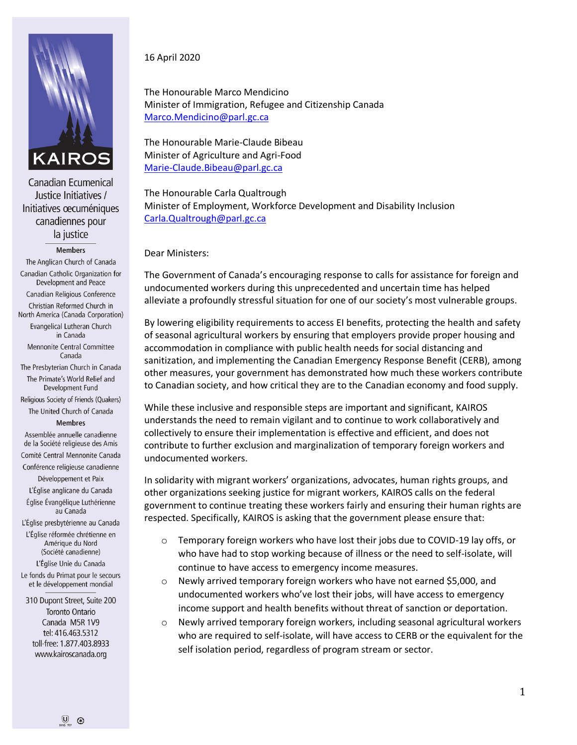

Canadian Ecumenical Justice Initiatives / Initiatives oecuméniques canadiennes pour la justice

## **Members**

The Anglican Church of Canada Canadian Catholic Organization for Development and Peace Canadian Religious Conference Christian Reformed Church in North America (Canada Corporation) Evangelical Lutheran Church in Canada Mennonite Central Committee Canada The Presbyterian Church in Canada The Primate's World Relief and Development Fund Religious Society of Friends (Quakers) The United Church of Canada **Membres** Assemblée annuelle canadienne de la Société religieuse des Amis Comité Central Mennonite Canada Conférence religieuse canadienne Développement et Paix L'Église anglicane du Canada Église Évangélique Luthérienne au Canada L'Église presbytérienne au Canada L'Église réformée chrétienne en Amérique du Nord

(Société canadienne)

L'Église Unie du Canada

Le fonds du Primat pour le secours et le développement mondial

310 Dupont Street, Suite 200 Toronto Ontario Canada M5R 1V9 tel: 416.463.5312 toll-free: 1.877.403.8933 www.kairoscanada.org

## 16 April 2020

The Honourable Marco Mendicino Minister of Immigration, Refugee and Citizenship Canada [Marco.Mendicino@parl.gc.ca](mailto:Marco.Mendicino@parl.gc.ca)

The Honourable Marie-Claude Bibeau Minister of Agriculture and Agri-Food [Marie-Claude.Bibeau@parl.gc.ca](mailto:Marie-Claude.Bibeau@parl.gc.ca)

The Honourable Carla Qualtrough Minister of Employment, Workforce Development and Disability Inclusion [Carla.Qualtrough@parl.gc.ca](mailto:Carla.Qualtrough@parl.gc.ca)

Dear Ministers:

The Government of Canada's encouraging response to calls for assistance for foreign and undocumented workers during this unprecedented and uncertain time has helped alleviate a profoundly stressful situation for one of our society's most vulnerable groups.

By lowering eligibility requirements to access EI benefits, protecting the health and safety of seasonal agricultural workers by ensuring that employers provide proper housing and accommodation in compliance with public health needs for social distancing and sanitization, and implementing the Canadian Emergency Response Benefit (CERB), among other measures, your government has demonstrated how much these workers contribute to Canadian society, and how critical they are to the Canadian economy and food supply.

While these inclusive and responsible steps are important and significant, KAIROS understands the need to remain vigilant and to continue to work collaboratively and collectively to ensure their implementation is effective and efficient, and does not contribute to further exclusion and marginalization of temporary foreign workers and undocumented workers.

In solidarity with migrant workers' organizations, advocates, human rights groups, and other organizations seeking justice for migrant workers, KAIROS calls on the federal government to continue treating these workers fairly and ensuring their human rights are respected. Specifically, KAIROS is asking that the government please ensure that:

- $\circ$  Temporary foreign workers who have lost their jobs due to COVID-19 lay offs, or who have had to stop working because of illness or the need to self-isolate, will continue to have access to emergency income measures.
- o Newly arrived temporary foreign workers who have not earned \$5,000, and undocumented workers who've lost their jobs, will have access to emergency income support and health benefits without threat of sanction or deportation.
- $\circ$  Newly arrived temporary foreign workers, including seasonal agricultural workers who are required to self-isolate, will have access to CERB or the equivalent for the self isolation period, regardless of program stream or sector.